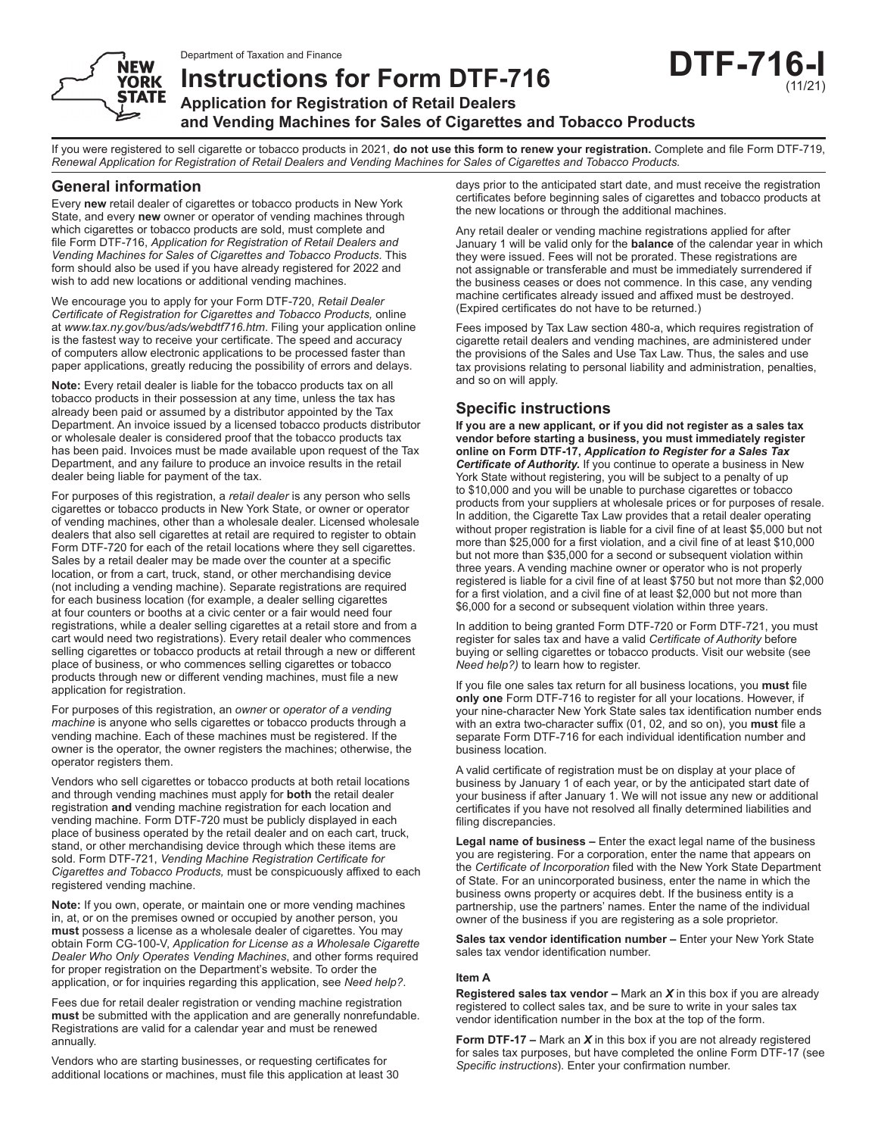Department of Taxation and Finance

**Instructions for Form DTF‑716**



**Application for Registration of Retail Dealers**

**and Vending Machines for Sales of Cigarettes and Tobacco Products**

If you were registered to sell cigarette or tobacco products in 2021, **do not use this form to renew your registration.** Complete and file Form DTF‑719, *Renewal Application for Registration of Retail Dealers and Vending Machines for Sales of Cigarettes and Tobacco Products.*

## **General information**

**YORK STATE** 

Every **new** retail dealer of cigarettes or tobacco products in New York State, and every **new** owner or operator of vending machines through which cigarettes or tobacco products are sold, must complete and file Form DTF-716, *Application for Registration of Retail Dealers and Vending Machines for Sales of Cigarettes and Tobacco Products.* This form should also be used if you have already registered for 2022 and wish to add new locations or additional vending machines.

We encourage you to apply for your Form DTF-720, *Retail Dealer Certificate of Registration for Cigarettes and Tobacco Products,* online at *www.tax.ny.gov/bus/ads/webdtf716.htm*. Filing your application online is the fastest way to receive your certificate. The speed and accuracy of computers allow electronic applications to be processed faster than paper applications, greatly reducing the possibility of errors and delays.

**Note:** Every retail dealer is liable for the tobacco products tax on all tobacco products in their possession at any time, unless the tax has already been paid or assumed by a distributor appointed by the Tax Department. An invoice issued by a licensed tobacco products distributor or wholesale dealer is considered proof that the tobacco products tax has been paid. Invoices must be made available upon request of the Tax Department, and any failure to produce an invoice results in the retail dealer being liable for payment of the tax.

For purposes of this registration, a *retail dealer* is any person who sells cigarettes or tobacco products in New York State, or owner or operator of vending machines, other than a wholesale dealer. Licensed wholesale dealers that also sell cigarettes at retail are required to register to obtain Form DTF‑720 for each of the retail locations where they sell cigarettes. Sales by a retail dealer may be made over the counter at a specific location, or from a cart, truck, stand, or other merchandising device (not including a vending machine). Separate registrations are required for each business location (for example, a dealer selling cigarettes at four counters or booths at a civic center or a fair would need four registrations, while a dealer selling cigarettes at a retail store and from a cart would need two registrations). Every retail dealer who commences selling cigarettes or tobacco products at retail through a new or different place of business, or who commences selling cigarettes or tobacco products through new or different vending machines, must file a new application for registration.

For purposes of this registration, an *owner* or *operator of a vending machine* is anyone who sells cigarettes or tobacco products through a vending machine. Each of these machines must be registered. If the owner is the operator, the owner registers the machines; otherwise, the operator registers them.

Vendors who sell cigarettes or tobacco products at both retail locations and through vending machines must apply for **both** the retail dealer registration **and** vending machine registration for each location and vending machine. Form DTF‑720 must be publicly displayed in each place of business operated by the retail dealer and on each cart, truck, stand, or other merchandising device through which these items are sold. Form DTF-721, *Vending Machine Registration Certificate for Cigarettes and Tobacco Products,* must be conspicuously affixed to each registered vending machine.

**Note:** If you own, operate, or maintain one or more vending machines in, at, or on the premises owned or occupied by another person, you **must** possess a license as a wholesale dealer of cigarettes. You may obtain Form CG-100-V, *Application for License as a Wholesale Cigarette Dealer Who Only Operates Vending Machines*, and other forms required for proper registration on the Department's website. To order the application, or for inquiries regarding this application, see *Need help?*.

Fees due for retail dealer registration or vending machine registration **must** be submitted with the application and are generally nonrefundable. Registrations are valid for a calendar year and must be renewed annually.

Vendors who are starting businesses, or requesting certificates for additional locations or machines, must file this application at least 30 days prior to the anticipated start date, and must receive the registration certificates before beginning sales of cigarettes and tobacco products at the new locations or through the additional machines.

Any retail dealer or vending machine registrations applied for after January 1 will be valid only for the **balance** of the calendar year in which they were issued. Fees will not be prorated. These registrations are not assignable or transferable and must be immediately surrendered if the business ceases or does not commence. In this case, any vending machine certificates already issued and affixed must be destroyed. (Expired certificates do not have to be returned.)

Fees imposed by Tax Law section 480-a, which requires registration of cigarette retail dealers and vending machines, are administered under the provisions of the Sales and Use Tax Law. Thus, the sales and use tax provisions relating to personal liability and administration, penalties, and so on will apply.

## **Specific instructions**

**If you are a new applicant, or if you did not register as a sales tax vendor before starting a business, you must immediately register online on Form DTF‑17,** *Application to Register for a Sales Tax Certificate of Authority.* If you continue to operate a business in New York State without registering, you will be subject to a penalty of up to \$10,000 and you will be unable to purchase cigarettes or tobacco products from your suppliers at wholesale prices or for purposes of resale. In addition, the Cigarette Tax Law provides that a retail dealer operating without proper registration is liable for a civil fine of at least \$5,000 but not more than \$25,000 for a first violation, and a civil fine of at least \$10,000 but not more than \$35,000 for a second or subsequent violation within three years. A vending machine owner or operator who is not properly registered is liable for a civil fine of at least \$750 but not more than \$2,000 for a first violation, and a civil fine of at least \$2,000 but not more than \$6,000 for a second or subsequent violation within three years.

In addition to being granted Form DTF‑720 or Form DTF‑721, you must register for sales tax and have a valid *Certificate of Authority* before buying or selling cigarettes or tobacco products. Visit our website (see *Need help?)* to learn how to register.

If you file one sales tax return for all business locations, you **must** file **only one** Form DTF‑716 to register for all your locations. However, if your nine-character New York State sales tax identification number ends with an extra two‑character suffix (01, 02, and so on), you **must** file a separate Form DTF‑716 for each individual identification number and business location.

A valid certificate of registration must be on display at your place of business by January 1 of each year, or by the anticipated start date of your business if after January 1. We will not issue any new or additional certificates if you have not resolved all finally determined liabilities and filing discrepancies.

**Legal name of business –** Enter the exact legal name of the business you are registering. For a corporation, enter the name that appears on the *Certificate of Incorporation* filed with the New York State Department of State. For an unincorporated business, enter the name in which the business owns property or acquires debt. If the business entity is a partnership, use the partners' names. Enter the name of the individual owner of the business if you are registering as a sole proprietor.

**Sales tax vendor identification number - Enter your New York State** sales tax vendor identification number.

## **Item A**

**Registered sales tax vendor** *–* Mark an *X* in this box if you are already registered to collect sales tax, and be sure to write in your sales tax vendor identification number in the box at the top of the form.

**Form DTF-17 –** Mark an *X* in this box if you are not already registered for sales tax purposes, but have completed the online Form DTF-17 (see *Specific instructions*). Enter your confirmation number.